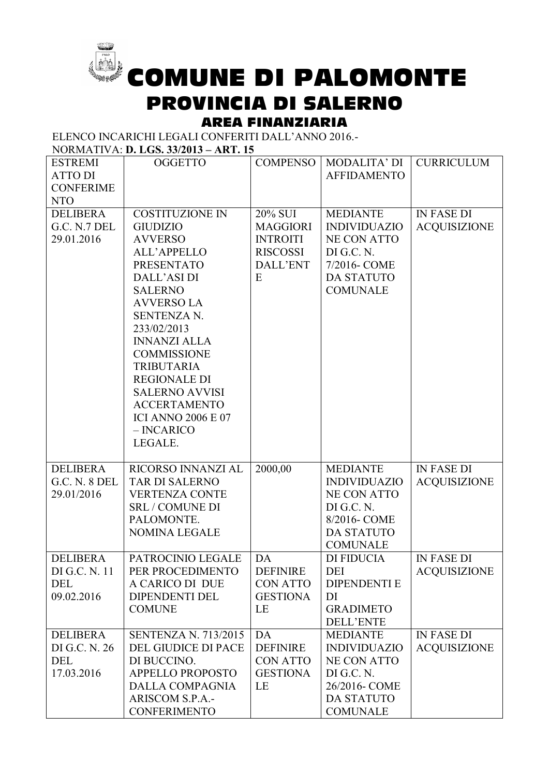

COMUNE DI PALOMONTE PROVINCIA DI SALERNO

## AREA FINANZIARIA

ELENCO INCARICHI LEGALI CONFERITI DALL'ANNO 2016.-

NORMATIVA: **D. LGS. 33/2013 – ART. 15**

| <b>ESTREMI</b><br><b>ATTO DI</b><br><b>CONFERIME</b>               | <b>OGGETTO</b>                                                                                                                                                                                                                                                                                                                                                                              | <b>COMPENSO</b>                                                                   | <b>MODALITA' DI</b><br><b>AFFIDAMENTO</b>                                                                                           | <b>CURRICULUM</b>                        |
|--------------------------------------------------------------------|---------------------------------------------------------------------------------------------------------------------------------------------------------------------------------------------------------------------------------------------------------------------------------------------------------------------------------------------------------------------------------------------|-----------------------------------------------------------------------------------|-------------------------------------------------------------------------------------------------------------------------------------|------------------------------------------|
| <b>NTO</b><br><b>DELIBERA</b><br><b>G.C. N.7 DEL</b><br>29.01.2016 | <b>COSTITUZIONE IN</b><br><b>GIUDIZIO</b><br><b>AVVERSO</b><br><b>ALL'APPELLO</b><br><b>PRESENTATO</b><br>DALL'ASI DI<br><b>SALERNO</b><br><b>AVVERSO LA</b><br>SENTENZA N.<br>233/02/2013<br><b>INNANZI ALLA</b><br><b>COMMISSIONE</b><br><b>TRIBUTARIA</b><br><b>REGIONALE DI</b><br><b>SALERNO AVVISI</b><br><b>ACCERTAMENTO</b><br><b>ICI ANNO 2006 E 07</b><br>$-$ INCARICO<br>LEGALE. | 20% SUI<br><b>MAGGIORI</b><br><b>INTROITI</b><br><b>RISCOSSI</b><br>DALL'ENT<br>E | <b>MEDIANTE</b><br><b>INDIVIDUAZIO</b><br><b>NE CON ATTO</b><br>DI G.C. N.<br>7/2016- COME<br><b>DA STATUTO</b><br><b>COMUNALE</b>  | <b>IN FASE DI</b><br><b>ACQUISIZIONE</b> |
| <b>DELIBERA</b><br><b>G.C. N. 8 DEL</b><br>29.01/2016              | RICORSO INNANZI AL<br><b>TAR DI SALERNO</b><br><b>VERTENZA CONTE</b><br><b>SRL / COMUNE DI</b><br>PALOMONTE.<br><b>NOMINA LEGALE</b>                                                                                                                                                                                                                                                        | 2000,00                                                                           | <b>MEDIANTE</b><br><b>INDIVIDUAZIO</b><br><b>NE CON ATTO</b><br>DI G.C. N.<br>8/2016- COME<br><b>DA STATUTO</b><br><b>COMUNALE</b>  | <b>IN FASE DI</b><br><b>ACQUISIZIONE</b> |
| <b>DELIBERA</b><br>DI G.C. N. 11<br><b>DEL</b><br>09.02.2016       | PATROCINIO LEGALE<br>PER PROCEDIMENTO<br>A CARICO DI DUE<br><b>DIPENDENTI DEL</b><br><b>COMUNE</b>                                                                                                                                                                                                                                                                                          | DA<br><b>DEFINIRE</b><br><b>CON ATTO</b><br><b>GESTIONA</b><br>LE                 | <b>DI FIDUCIA</b><br>DEI<br><b>DIPENDENTI E</b><br>DI<br><b>GRADIMETO</b><br><b>DELL'ENTE</b>                                       | <b>IN FASE DI</b><br><b>ACQUISIZIONE</b> |
| <b>DELIBERA</b><br>DI G.C. N. 26<br>DEL<br>17.03.2016              | <b>SENTENZA N. 713/2015</b><br>DEL GIUDICE DI PACE<br>DI BUCCINO.<br><b>APPELLO PROPOSTO</b><br><b>DALLA COMPAGNIA</b><br>ARISCOM S.P.A.-<br><b>CONFERIMENTO</b>                                                                                                                                                                                                                            | DA<br><b>DEFINIRE</b><br><b>CON ATTO</b><br><b>GESTIONA</b><br>LE                 | <b>MEDIANTE</b><br><b>INDIVIDUAZIO</b><br><b>NE CON ATTO</b><br>DI G.C. N.<br>26/2016- COME<br><b>DA STATUTO</b><br><b>COMUNALE</b> | <b>IN FASE DI</b><br><b>ACQUISIZIONE</b> |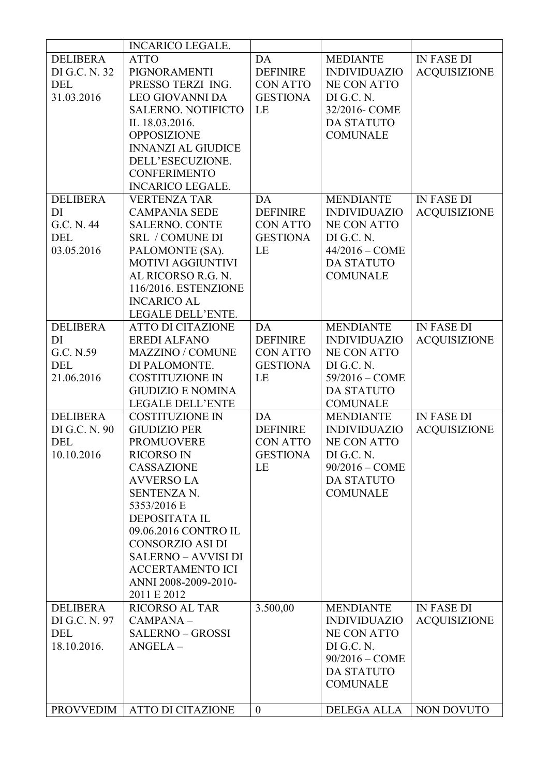|                  | <b>INCARICO LEGALE.</b>    |                 |                     |                     |
|------------------|----------------------------|-----------------|---------------------|---------------------|
| <b>DELIBERA</b>  | <b>ATTO</b>                | DA              | <b>MEDIANTE</b>     | <b>IN FASE DI</b>   |
| DI G.C. N. 32    | PIGNORAMENTI               | <b>DEFINIRE</b> | <b>INDIVIDUAZIO</b> | <b>ACQUISIZIONE</b> |
| <b>DEL</b>       | PRESSO TERZI ING.          | <b>CON ATTO</b> | <b>NE CON ATTO</b>  |                     |
| 31.03.2016       | <b>LEO GIOVANNI DA</b>     | <b>GESTIONA</b> | DI G.C. N.          |                     |
|                  | <b>SALERNO. NOTIFICTO</b>  | LE              | 32/2016- COME       |                     |
|                  | IL 18.03.2016.             |                 | <b>DA STATUTO</b>   |                     |
|                  | <b>OPPOSIZIONE</b>         |                 | <b>COMUNALE</b>     |                     |
|                  |                            |                 |                     |                     |
|                  | <b>INNANZI AL GIUDICE</b>  |                 |                     |                     |
|                  | DELL'ESECUZIONE.           |                 |                     |                     |
|                  | <b>CONFERIMENTO</b>        |                 |                     |                     |
|                  | <b>INCARICO LEGALE.</b>    |                 |                     |                     |
| <b>DELIBERA</b>  | <b>VERTENZA TAR</b>        | DA              | <b>MENDIANTE</b>    | <b>IN FASE DI</b>   |
| DI               | <b>CAMPANIA SEDE</b>       | <b>DEFINIRE</b> | <b>INDIVIDUAZIO</b> | <b>ACQUISIZIONE</b> |
| G.C. N. 44       | <b>SALERNO. CONTE</b>      | <b>CON ATTO</b> | <b>NE CON ATTO</b>  |                     |
| <b>DEL</b>       | <b>SRL / COMUNE DI</b>     | <b>GESTIONA</b> | DI G.C. N.          |                     |
| 03.05.2016       | PALOMONTE (SA).            | LE              | $44/2016 - COME$    |                     |
|                  | <b>MOTIVI AGGIUNTIVI</b>   |                 | <b>DA STATUTO</b>   |                     |
|                  | AL RICORSO R.G. N.         |                 | <b>COMUNALE</b>     |                     |
|                  |                            |                 |                     |                     |
|                  | 116/2016. ESTENZIONE       |                 |                     |                     |
|                  | <b>INCARICO AL</b>         |                 |                     |                     |
|                  | LEGALE DELL'ENTE.          |                 |                     |                     |
| <b>DELIBERA</b>  | <b>ATTO DI CITAZIONE</b>   | DA              | <b>MENDIANTE</b>    | <b>IN FASE DI</b>   |
| DI               | <b>EREDI ALFANO</b>        | <b>DEFINIRE</b> | <b>INDIVIDUAZIO</b> | <b>ACQUISIZIONE</b> |
| G.C. N.59        | <b>MAZZINO / COMUNE</b>    | <b>CON ATTO</b> | <b>NE CON ATTO</b>  |                     |
| DEL              | DI PALOMONTE.              | <b>GESTIONA</b> | DI G.C. N.          |                     |
| 21.06.2016       | <b>COSTITUZIONE IN</b>     | LE              | $59/2016 - COME$    |                     |
|                  | <b>GIUDIZIO E NOMINA</b>   |                 | <b>DA STATUTO</b>   |                     |
|                  | <b>LEGALE DELL'ENTE</b>    |                 | <b>COMUNALE</b>     |                     |
|                  |                            |                 |                     |                     |
| <b>DELIBERA</b>  | <b>COSTITUZIONE IN</b>     | DA              | <b>MENDIANTE</b>    | <b>IN FASE DI</b>   |
| DI G.C. N. 90    | <b>GIUDIZIO PER</b>        | <b>DEFINIRE</b> | <b>INDIVIDUAZIO</b> | <b>ACQUISIZIONE</b> |
| DEL              | <b>PROMUOVERE</b>          | <b>CON ATTO</b> | <b>NE CON ATTO</b>  |                     |
| 10.10.2016       | <b>RICORSO IN</b>          | <b>GESTIONA</b> | DI G.C. N.          |                     |
|                  | <b>CASSAZIONE</b>          | LE              | $90/2016 - COME$    |                     |
|                  | <b>AVVERSO LA</b>          |                 | <b>DA STATUTO</b>   |                     |
|                  | SENTENZA N.                |                 | <b>COMUNALE</b>     |                     |
|                  | 5353/2016 E                |                 |                     |                     |
|                  | <b>DEPOSITATA IL</b>       |                 |                     |                     |
|                  | 09.06.2016 CONTRO IL       |                 |                     |                     |
|                  | <b>CONSORZIO ASI DI</b>    |                 |                     |                     |
|                  |                            |                 |                     |                     |
|                  | <b>SALERNO - AVVISI DI</b> |                 |                     |                     |
|                  | <b>ACCERTAMENTO ICI</b>    |                 |                     |                     |
|                  | ANNI 2008-2009-2010-       |                 |                     |                     |
|                  | 2011 E 2012                |                 |                     |                     |
| <b>DELIBERA</b>  | <b>RICORSO AL TAR</b>      | 3.500,00        | <b>MENDIANTE</b>    | <b>IN FASE DI</b>   |
| DI G.C. N. 97    | CAMPANA-                   |                 | <b>INDIVIDUAZIO</b> | <b>ACQUISIZIONE</b> |
| DEL              | <b>SALERNO - GROSSI</b>    |                 | <b>NE CON ATTO</b>  |                     |
| 18.10.2016.      | $ANGELA -$                 |                 | DI G.C. N.          |                     |
|                  |                            |                 | $90/2016 - COME$    |                     |
|                  |                            |                 | DA STATUTO          |                     |
|                  |                            |                 |                     |                     |
|                  |                            |                 | <b>COMUNALE</b>     |                     |
|                  |                            |                 |                     |                     |
| <b>PROVVEDIM</b> | <b>ATTO DI CITAZIONE</b>   | $\mathbf{0}$    | <b>DELEGA ALLA</b>  | NON DOVUTO          |